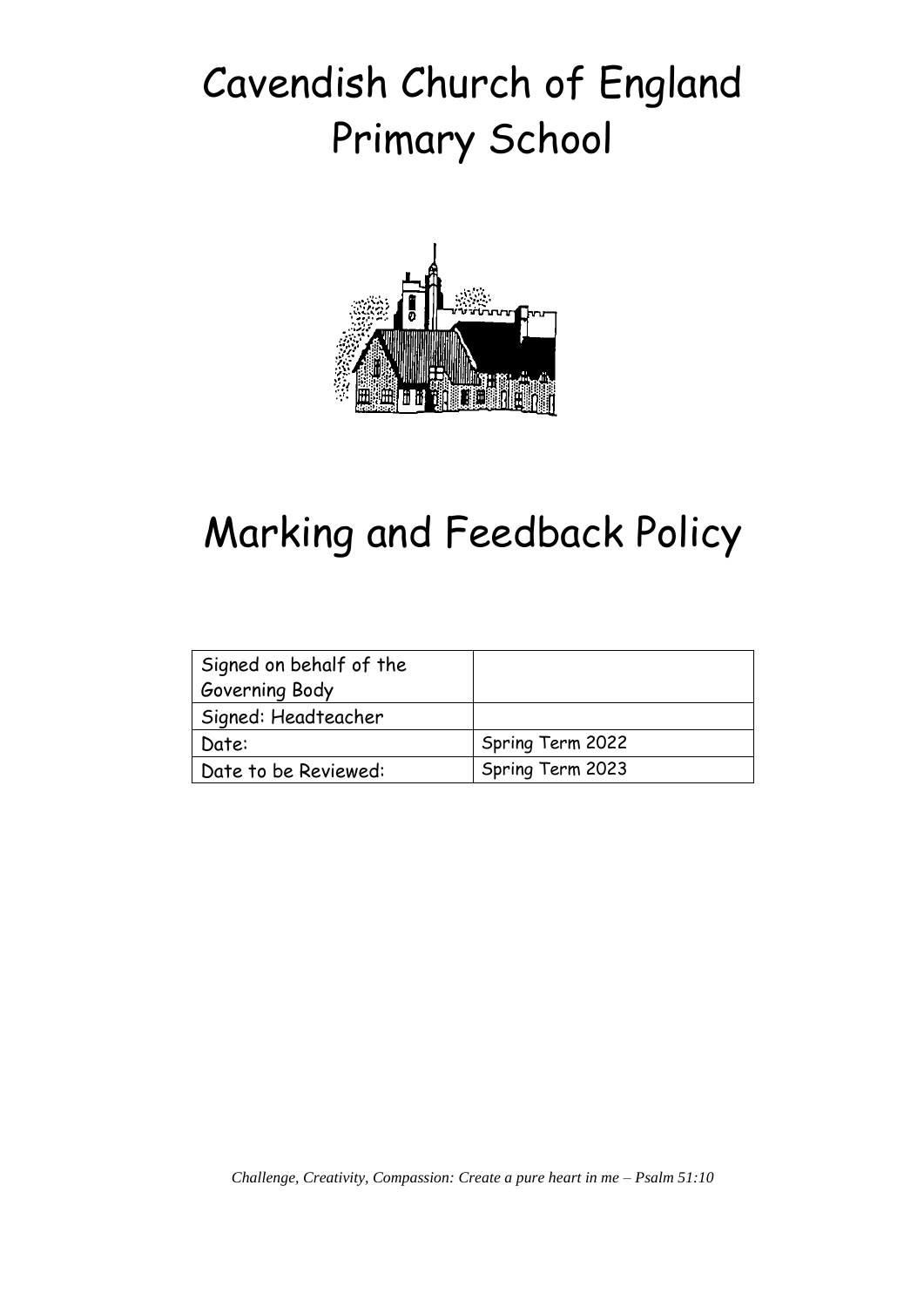# Cavendish Church of England Primary School



## Marking and Feedback Policy

| Signed on behalf of the |                  |
|-------------------------|------------------|
| Governing Body          |                  |
| Signed: Headteacher     |                  |
| Date:                   | Spring Term 2022 |
| Date to be Reviewed:    | Spring Term 2023 |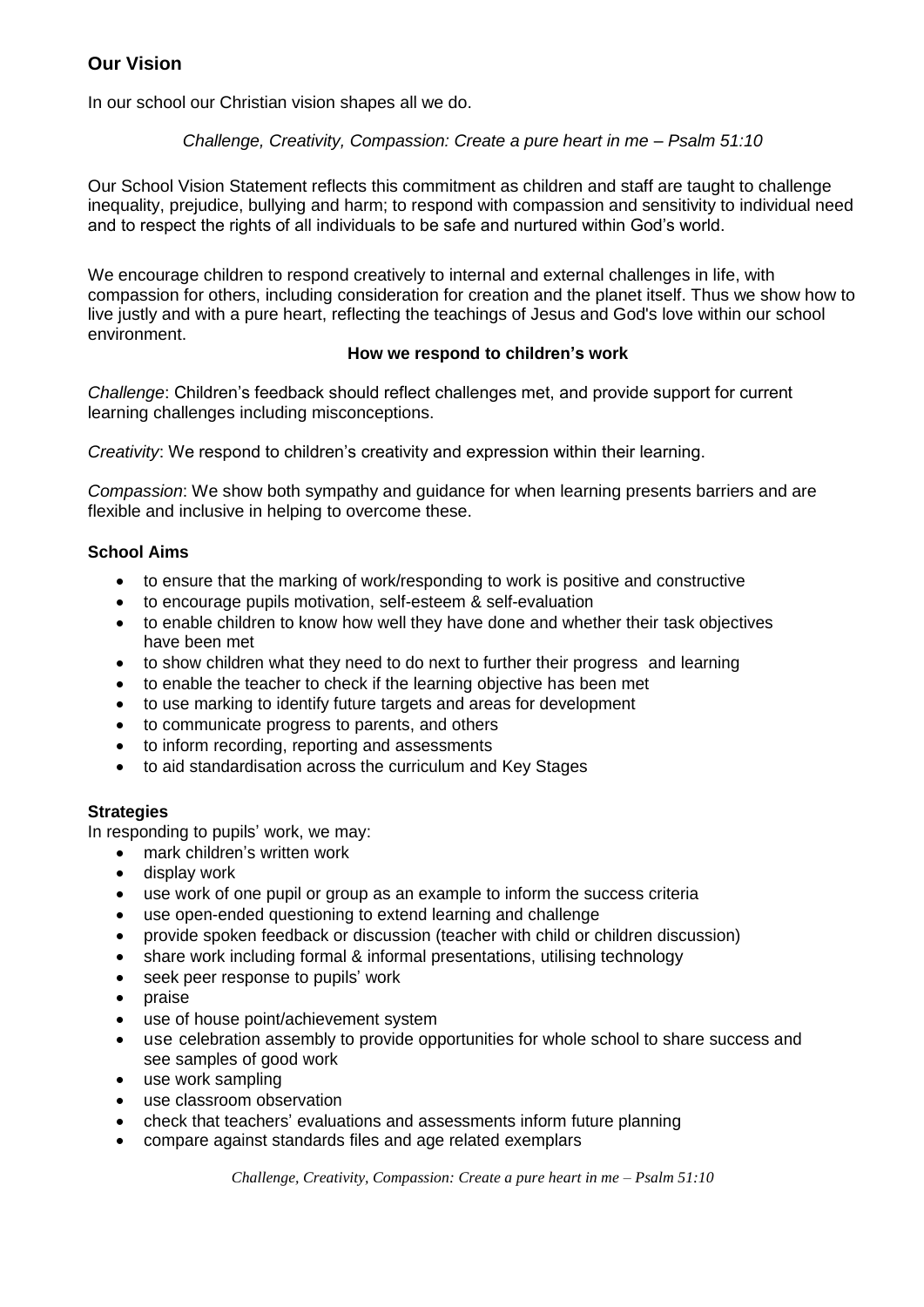## **Our Vision**

In our school our Christian vision shapes all we do.

## *Challenge, Creativity, Compassion: Create a pure heart in me – Psalm 51:10*

Our School Vision Statement reflects this commitment as children and staff are taught to challenge inequality, prejudice, bullying and harm; to respond with compassion and sensitivity to individual need and to respect the rights of all individuals to be safe and nurtured within God's world.

We encourage children to respond creatively to internal and external challenges in life, with compassion for others, including consideration for creation and the planet itself. Thus we show how to live justly and with a pure heart, reflecting the teachings of Jesus and God's love within our school environment.

## **How we respond to children's work**

*Challenge*: Children's feedback should reflect challenges met, and provide support for current learning challenges including misconceptions.

*Creativity*: We respond to children's creativity and expression within their learning.

*Compassion*: We show both sympathy and guidance for when learning presents barriers and are flexible and inclusive in helping to overcome these.

## **School Aims**

- to ensure that the marking of work/responding to work is positive and constructive
- to encourage pupils motivation, self-esteem & self-evaluation
- to enable children to know how well they have done and whether their task objectives have been met
- to show children what they need to do next to further their progress and learning
- to enable the teacher to check if the learning objective has been met
- to use marking to identify future targets and areas for development
- to communicate progress to parents, and others
- to inform recording, reporting and assessments
- to aid standardisation across the curriculum and Key Stages

## **Strategies**

In responding to pupils' work, we may:

- mark children's written work
- display work
- use work of one pupil or group as an example to inform the success criteria
- use open-ended questioning to extend learning and challenge
- provide spoken feedback or discussion (teacher with child or children discussion)
- share work including formal & informal presentations, utilising technology
- seek peer response to pupils' work
- praise
- use of house point/achievement system
- use celebration assembly to provide opportunities for whole school to share success and see samples of good work
- use work sampling
- use classroom observation
- check that teachers' evaluations and assessments inform future planning
- compare against standards files and age related exemplars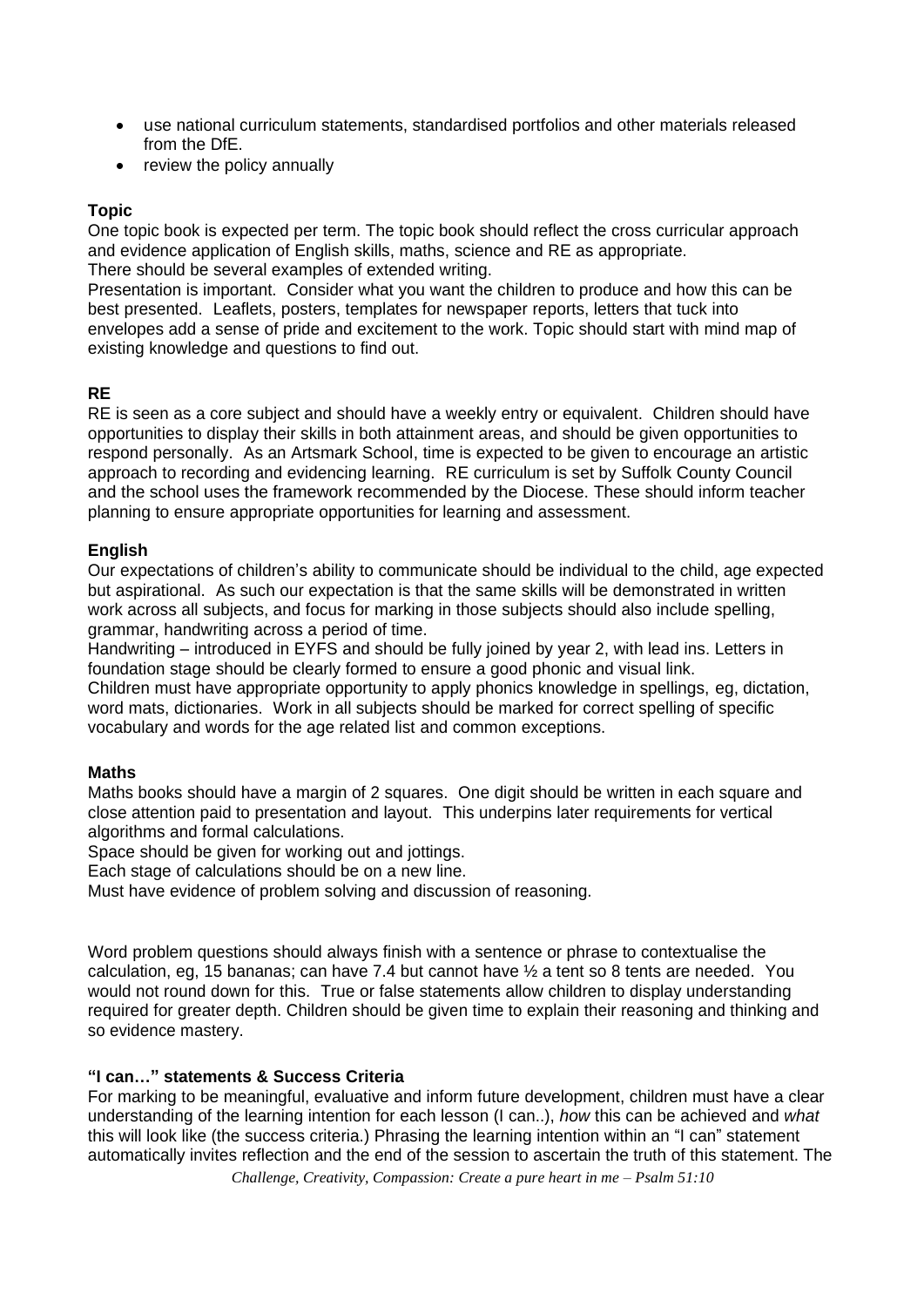- use national curriculum statements, standardised portfolios and other materials released from the DfE.
- review the policy annually

## **Topic**

One topic book is expected per term. The topic book should reflect the cross curricular approach and evidence application of English skills, maths, science and RE as appropriate. There should be several examples of extended writing.

Presentation is important. Consider what you want the children to produce and how this can be best presented. Leaflets, posters, templates for newspaper reports, letters that tuck into envelopes add a sense of pride and excitement to the work. Topic should start with mind map of existing knowledge and questions to find out.

## **RE**

RE is seen as a core subject and should have a weekly entry or equivalent. Children should have opportunities to display their skills in both attainment areas, and should be given opportunities to respond personally. As an Artsmark School, time is expected to be given to encourage an artistic approach to recording and evidencing learning. RE curriculum is set by Suffolk County Council and the school uses the framework recommended by the Diocese. These should inform teacher planning to ensure appropriate opportunities for learning and assessment.

## **English**

Our expectations of children's ability to communicate should be individual to the child, age expected but aspirational. As such our expectation is that the same skills will be demonstrated in written work across all subjects, and focus for marking in those subjects should also include spelling, grammar, handwriting across a period of time.

Handwriting – introduced in EYFS and should be fully joined by year 2, with lead ins. Letters in foundation stage should be clearly formed to ensure a good phonic and visual link.

Children must have appropriate opportunity to apply phonics knowledge in spellings, eg, dictation, word mats, dictionaries. Work in all subjects should be marked for correct spelling of specific vocabulary and words for the age related list and common exceptions.

## **Maths**

Maths books should have a margin of 2 squares. One digit should be written in each square and close attention paid to presentation and layout. This underpins later requirements for vertical algorithms and formal calculations.

Space should be given for working out and jottings.

Each stage of calculations should be on a new line.

Must have evidence of problem solving and discussion of reasoning.

Word problem questions should always finish with a sentence or phrase to contextualise the calculation, eg, 15 bananas; can have 7.4 but cannot have  $\frac{1}{2}$  a tent so 8 tents are needed. You would not round down for this. True or false statements allow children to display understanding required for greater depth. Children should be given time to explain their reasoning and thinking and so evidence mastery.

## **"I can…" statements & Success Criteria**

For marking to be meaningful, evaluative and inform future development, children must have a clear understanding of the learning intention for each lesson (I can..), *how* this can be achieved and *what* this will look like (the success criteria.) Phrasing the learning intention within an "I can" statement automatically invites reflection and the end of the session to ascertain the truth of this statement. The

*Challenge, Creativity, Compassion: Create a pure heart in me – Psalm 51:10*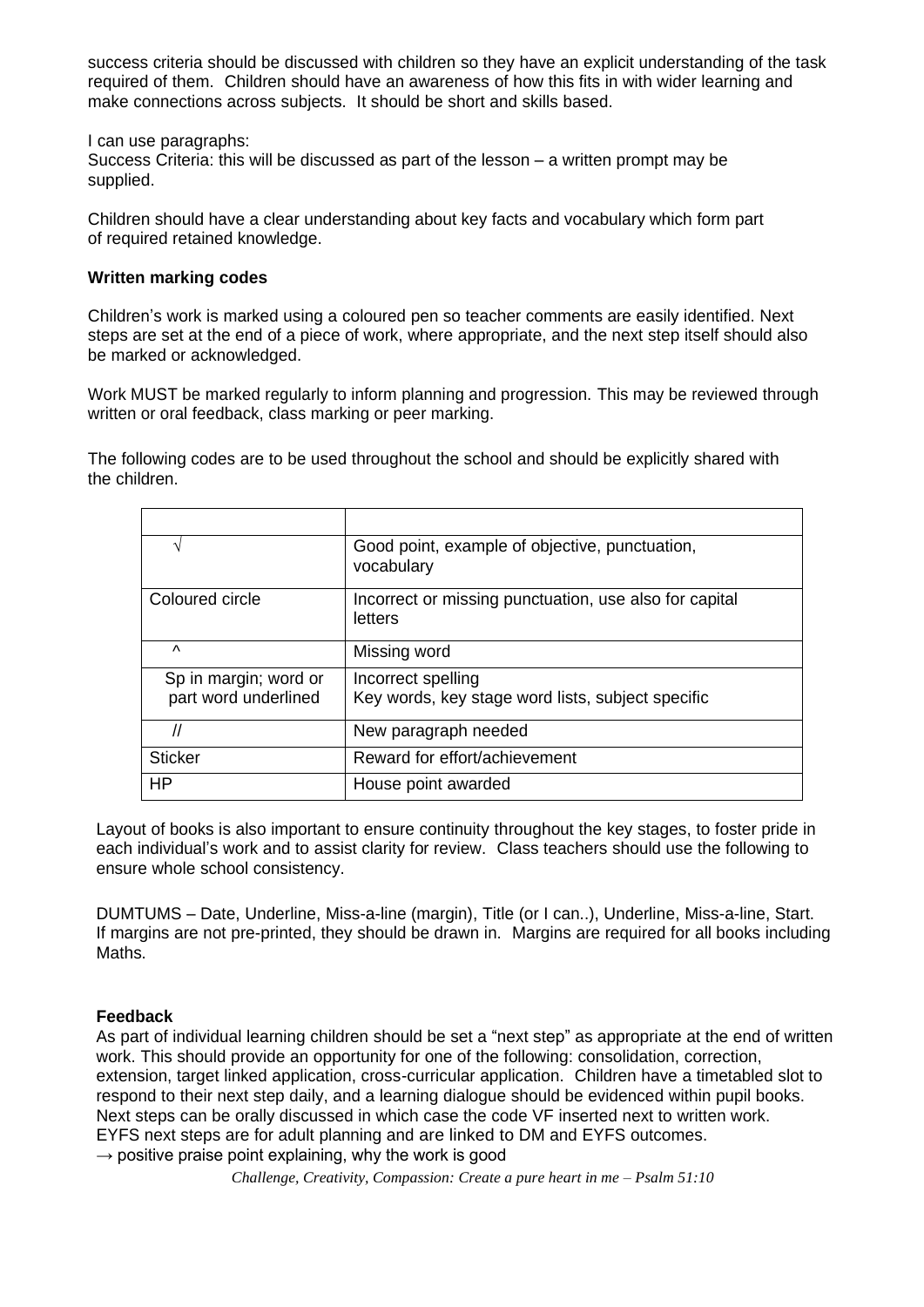success criteria should be discussed with children so they have an explicit understanding of the task required of them. Children should have an awareness of how this fits in with wider learning and make connections across subjects. It should be short and skills based.

I can use paragraphs:

Success Criteria: this will be discussed as part of the lesson – a written prompt may be supplied.

Children should have a clear understanding about key facts and vocabulary which form part of required retained knowledge.

#### **Written marking codes**

Children's work is marked using a coloured pen so teacher comments are easily identified. Next steps are set at the end of a piece of work, where appropriate, and the next step itself should also be marked or acknowledged.

Work MUST be marked regularly to inform planning and progression. This may be reviewed through written or oral feedback, class marking or peer marking.

The following codes are to be used throughout the school and should be explicitly shared with the children.

|                                               | Good point, example of objective, punctuation,<br>vocabulary            |
|-----------------------------------------------|-------------------------------------------------------------------------|
| Coloured circle                               | Incorrect or missing punctuation, use also for capital<br>letters       |
| $\lambda$                                     | Missing word                                                            |
| Sp in margin; word or<br>part word underlined | Incorrect spelling<br>Key words, key stage word lists, subject specific |
| $\sqrt{ }$                                    | New paragraph needed                                                    |
| Sticker                                       | Reward for effort/achievement                                           |
| HP                                            | House point awarded                                                     |

Layout of books is also important to ensure continuity throughout the key stages, to foster pride in each individual's work and to assist clarity for review. Class teachers should use the following to ensure whole school consistency.

DUMTUMS – Date, Underline, Miss-a-line (margin), Title (or I can..), Underline, Miss-a-line, Start. If margins are not pre-printed, they should be drawn in. Margins are required for all books including Maths.

## **Feedback**

As part of individual learning children should be set a "next step" as appropriate at the end of written work. This should provide an opportunity for one of the following: consolidation, correction, extension, target linked application, cross-curricular application. Children have a timetabled slot to respond to their next step daily, and a learning dialogue should be evidenced within pupil books. Next steps can be orally discussed in which case the code VF inserted next to written work. EYFS next steps are for adult planning and are linked to DM and EYFS outcomes.  $\rightarrow$  positive praise point explaining, why the work is good